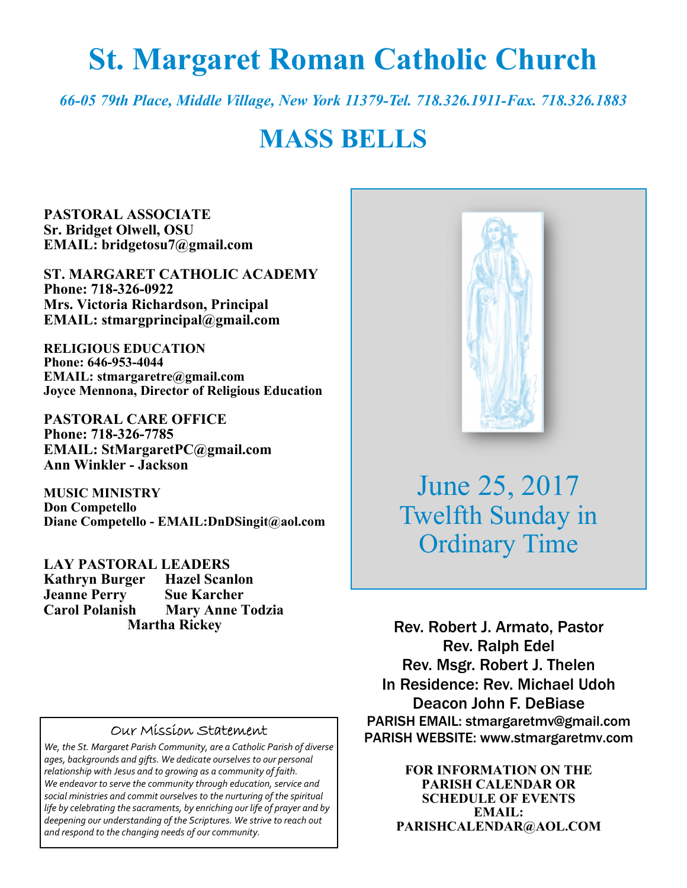# **St. Margaret Roman Catholic Church**

*66-05 79th Place, Middle Village, New York 11379-Tel. 718.326.1911-Fax. 718.326.1883* 

# **MASS BELLS**

**PASTORAL ASSOCIATE Sr. Bridget Olwell, OSU EMAIL: bridgetosu7@gmail.com** 

**ST. MARGARET CATHOLIC ACADEMY Phone: 718-326-0922 Mrs. Victoria Richardson, Principal EMAIL: stmargprincipal@gmail.com** 

**RELIGIOUS EDUCATION Phone: 646-953-4044 EMAIL: stmargaretre@gmail.com Joyce Mennona, Director of Religious Education** 

**PASTORAL CARE OFFICE Phone: 718-326-7785 EMAIL: StMargaretPC@gmail.com Ann Winkler - Jackson** 

**MUSIC MINISTRY Don Competello Diane Competello - EMAIL:DnDSingit@aol.com** 

**LAY PASTORAL LEADERS Kathryn Burger Hazel Scanlon Jeanne Perry Sue Karcher Mary Anne Todzia Martha Rickey** 

#### Our Mission Statement

*We, the St. Margaret Parish Community, are a Catholic Parish of diverse ages, backgrounds and gifts. We dedicate ourselves to our personal relationship with Jesus and to growing as a community of faith. We endeavor to serve the community through education, service and social ministries and commit ourselves to the nurturing of the spiritual life by celebrating the sacraments, by enriching our life of prayer and by deepening our understanding of the Scriptures. We strive to reach out and respond to the changing needs of our community.*



June 25, 2017 Twelfth Sunday in Ordinary Time

Rev. Robert J. Armato, Pastor Rev. Ralph Edel Rev. Msgr. Robert J. Thelen In Residence: Rev. Michael Udoh Deacon John F. DeBiase PARISH EMAIL: stmargaretmv@gmail.com PARISH WEBSITE: www.stmargaretmv.com

> **FOR INFORMATION ON THE PARISH CALENDAR OR SCHEDULE OF EVENTS EMAIL: PARISHCALENDAR@AOL.COM**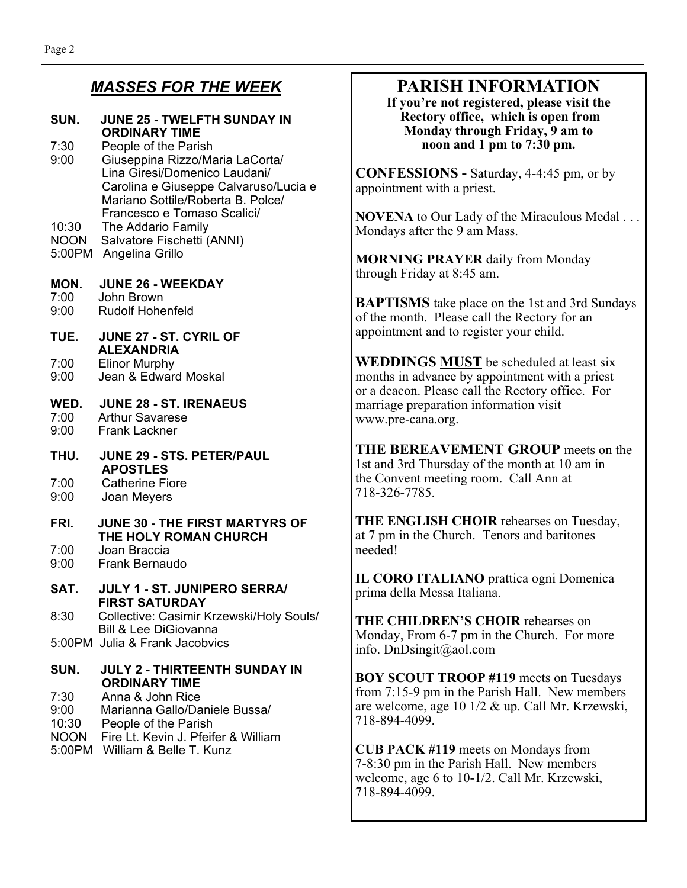### *MASSES FOR THE WEEK*

#### **SUN. JUNE 25 - TWELFTH SUNDAY IN ORDINARY TIME**

- 7:30 People of the Parish 9:00 Giuseppina Rizzo/Maria LaCorta/ Lina Giresi/Domenico Laudani/ Carolina e Giuseppe Calvaruso/Lucia e Mariano Sottile/Roberta B. Polce/ Francesco e Tomaso Scalici/
- 10:30 The Addario Family
- NOON Salvatore Fischetti (ANNI)
- 5:00PM Angelina Grillo

#### **MON. JUNE 26 - WEEKDAY**

- 7:00 John Brown
- 9:00 Rudolf Hohenfeld
- **TUE. JUNE 27 ST. CYRIL OF ALEXANDRIA**<br>7:00 Elinor Murphy
- 7:00 Elinor Murphy<br>9:00 Jean & Edward 9:00 Jean & Edward Moskal

#### **WED. JUNE 28 - ST. IRENAEUS**  Arthur Savarese

- 9:00 Frank Lackner
- **THU. JUNE 29 STS. PETER/PAUL APOSTLES**
- 7:00 Catherine Fiore<br>9:00 Joan Mevers
- 9:00 Joan Meyers

## **FRI. JUNE 30 - THE FIRST MARTYRS OF THE HOLY ROMAN CHURCH**<br>7:00 Joan Braccia

- 7:00 Joan Braccia 9:00 Frank Bernaudo
- **SAT. JULY 1 ST. JUNIPERO SERRA/ FIRST SATURDAY**
- 8:30 Collective: Casimir Krzewski/Holy Souls/ Bill & Lee DiGiovanna
- 5:00PM Julia & Frank Jacobvics

#### **SUN. JULY 2 - THIRTEENTH SUNDAY IN ORDINARY TIME**  7:30 Anna & John Rice

- 9:00 Marianna Gallo/Daniele Bussa/
- 10:30 People of the Parish
- NOON Fire Lt. Kevin J. Pfeifer & William
- 5:00PM William & Belle T. Kunz

## **PARISH INFORMATION**

**If you're not registered, please visit the Rectory office, which is open from Monday through Friday, 9 am to noon and 1 pm to 7:30 pm.** 

**CONFESSIONS -** Saturday, 4-4:45 pm, or by appointment with a priest.

**NOVENA** to Our Lady of the Miraculous Medal . . . Mondays after the 9 am Mass.

**MORNING PRAYER** daily from Monday through Friday at 8:45 am.

**BAPTISMS** take place on the 1st and 3rd Sundays of the month. Please call the Rectory for an appointment and to register your child.

**WEDDINGS MUST** be scheduled at least six months in advance by appointment with a priest or a deacon. Please call the Rectory office. For marriage preparation information visit www.pre-cana.org.

**THE BEREAVEMENT GROUP** meets on the 1st and 3rd Thursday of the month at 10 am in the Convent meeting room. Call Ann at 718-326-7785.

**THE ENGLISH CHOIR** rehearses on Tuesday, at 7 pm in the Church. Tenors and baritones needed!

**IL CORO ITALIANO** prattica ogni Domenica prima della Messa Italiana.

**THE CHILDREN'S CHOIR** rehearses on Monday, From 6-7 pm in the Church. For more info. DnDsingit@aol.com

**BOY SCOUT TROOP #119** meets on Tuesdays from 7:15-9 pm in the Parish Hall. New members are welcome, age 10 1/2 & up. Call Mr. Krzewski, 718-894-4099.

**CUB PACK #119** meets on Mondays from 7-8:30 pm in the Parish Hall. New members welcome, age 6 to 10-1/2. Call Mr. Krzewski, 718-894-4099.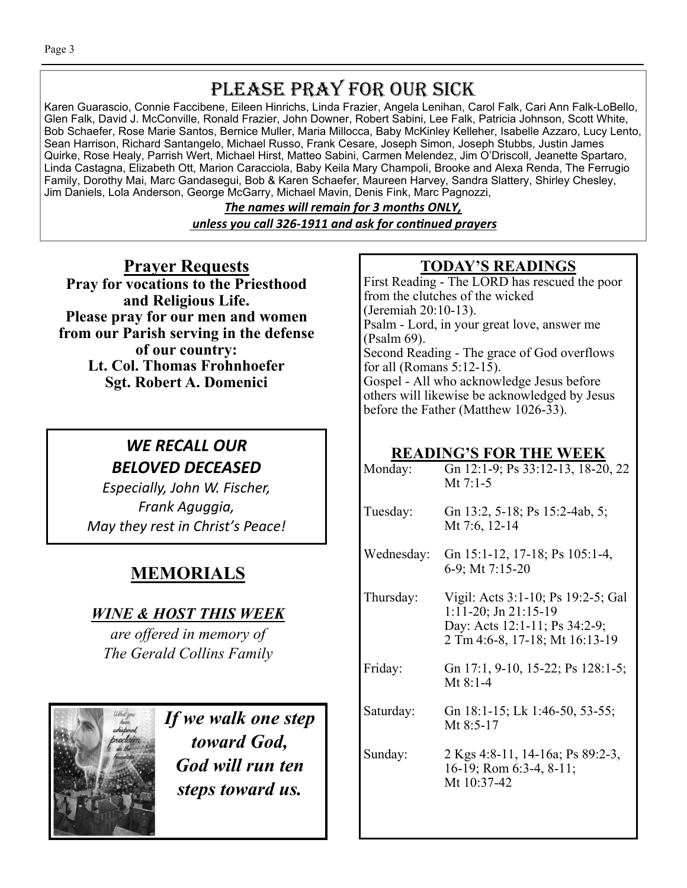# PLEASE PRAY FOR OUR SICK

Karen Guarascio, Connie Faccibene, Eileen Hinrichs, Linda Frazier, Angela Lenihan, Carol Falk, Cari Ann Falk-LoBello, Glen Falk, David J. McConville, Ronald Frazier, John Downer, Robert Sabini, Lee Falk, Patricia Johnson, Scott White, Bob Schaefer, Rose Marie Santos, Bernice Muller, Maria Millocca, Baby McKinley Kelleher, Isabelle Azzaro, Lucy Lento, Sean Harrison, Richard Santangelo, Michael Russo, Frank Cesare, Joseph Simon, Joseph Stubbs, Justin James Quirke, Rose Healy, Parrish Wert, Michael Hirst, Matteo Sabini, Carmen Melendez, Jim O'Driscoll, Jeanette Spartaro, Linda Castagna, Elizabeth Ott, Marion Caracciola, Baby Keila Mary Champoli, Brooke and Alexa Renda, The Ferrugio Family, Dorothy Mai, Marc Gandasegui, Bob & Karen Schaefer, Maureen Harvey, Sandra Slattery, Shirley Chesley, Jim Daniels, Lola Anderson, George McGarry, Michael Mavin, Denis Fink, Marc Pagnozzi,

> *The names will remain for 3 months ONLY, unless you call 326-1911 and ask for conƟnued prayers*

**Prayer Requests Pray for vocations to the Priesthood and Religious Life. Please pray for our men and women from our Parish serving in the defense of our country: Lt. Col. Thomas Frohnhoefer Sgt. Robert A. Domenici** 

## *WE RECALL OUR BELOVED DECEASED*

*Especially, John W. Fischer, Frank Aguggia, May they rest in Christ's Peace!* 

## **MEMORIALS**

## *WINE & HOST THIS WEEK*

*are offered in memory of The Gerald Collins Family* 



*If we walk one step toward God, God will run ten steps toward us.* 

## **TODAY'S READINGS**

First Reading - The LORD has rescued the poor from the clutches of the wicked (Jeremiah 20:10-13). Psalm - Lord, in your great love, answer me (Psalm 69). Second Reading - The grace of God overflows for all (Romans 5:12-15). Gospel - All who acknowledge Jesus before others will likewise be acknowledged by Jesus before the Father (Matthew 1026-33).

## **READING'S FOR THE WEEK**

| Monday:    | Gn 12:1-9; Ps 33:12-13, 18-20, 22<br>Mt $7:1-5$                                                                                    |
|------------|------------------------------------------------------------------------------------------------------------------------------------|
| Tuesday:   | Gn 13:2, 5-18; Ps 15:2-4ab, 5;<br>Mt 7:6, 12-14                                                                                    |
| Wednesday: | Gn 15:1-12, 17-18; Ps 105:1-4,<br>6-9; Mt 7:15-20                                                                                  |
| Thursday:  | Vigil: Acts 3:1-10; Ps 19:2-5; Gal<br>$1:11-20$ ; Jn $21:15-19$<br>Day: Acts 12:1-11; Ps 34:2-9;<br>2 Tm 4:6-8, 17-18; Mt 16:13-19 |
| Friday:    | Gn 17:1, 9-10, 15-22; Ps 128:1-5;<br>Mt $8:1-4$                                                                                    |
| Saturday:  | Gn 18:1-15; Lk 1:46-50, 53-55;<br>Mt $8:5-17$                                                                                      |
| Sunday:    | 2 Kgs 4:8-11, 14-16a; Ps 89:2-3,<br>16-19; Rom 6:3-4, 8-11;<br>Mt 10:37-42                                                         |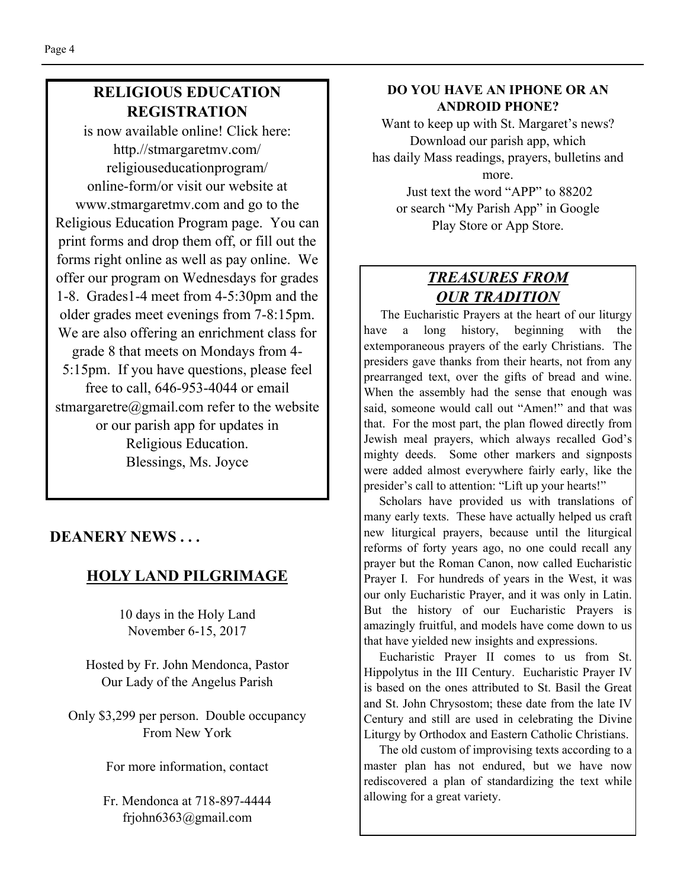## **RELIGIOUS EDUCATION REGISTRATION**

is now available online! Click here: http.//stmargaretmv.com/ religiouseducationprogram/ online-form/or visit our website at www.stmargaretmv.com and go to the Religious Education Program page. You can print forms and drop them off, or fill out the forms right online as well as pay online. We offer our program on Wednesdays for grades 1-8. Grades1-4 meet from 4-5:30pm and the older grades meet evenings from 7-8:15pm. We are also offering an enrichment class for grade 8 that meets on Mondays from 4- 5:15pm. If you have questions, please feel free to call, 646-953-4044 or email stmargaretre@gmail.com refer to the website or our parish app for updates in Religious Education. Blessings, Ms. Joyce

## **DEANERY NEWS . . .**

## **HOLY LAND PILGRIMAGE**

10 days in the Holy Land November 6-15, 2017

Hosted by Fr. John Mendonca, Pastor Our Lady of the Angelus Parish

Only \$3,299 per person. Double occupancy From New York

For more information, contact

Fr. Mendonca at 718-897-4444 frjohn6363@gmail.com

#### **DO YOU HAVE AN IPHONE OR AN ANDROID PHONE?**

Want to keep up with St. Margaret's news? Download our parish app, which has daily Mass readings, prayers, bulletins and more.

 Just text the word "APP" to 88202 or search "My Parish App" in Google Play Store or App Store.

## *TREASURES FROM OUR TRADITION*

 The Eucharistic Prayers at the heart of our liturgy have a long history, beginning with the extemporaneous prayers of the early Christians. The presiders gave thanks from their hearts, not from any prearranged text, over the gifts of bread and wine. When the assembly had the sense that enough was said, someone would call out "Amen!" and that was that. For the most part, the plan flowed directly from Jewish meal prayers, which always recalled God's mighty deeds. Some other markers and signposts were added almost everywhere fairly early, like the presider's call to attention: "Lift up your hearts!"

 Scholars have provided us with translations of many early texts. These have actually helped us craft new liturgical prayers, because until the liturgical reforms of forty years ago, no one could recall any prayer but the Roman Canon, now called Eucharistic Prayer I. For hundreds of years in the West, it was our only Eucharistic Prayer, and it was only in Latin. But the history of our Eucharistic Prayers is amazingly fruitful, and models have come down to us that have yielded new insights and expressions.

 Eucharistic Prayer II comes to us from St. Hippolytus in the III Century. Eucharistic Prayer IV is based on the ones attributed to St. Basil the Great and St. John Chrysostom; these date from the late IV Century and still are used in celebrating the Divine Liturgy by Orthodox and Eastern Catholic Christians.

 The old custom of improvising texts according to a master plan has not endured, but we have now rediscovered a plan of standardizing the text while allowing for a great variety.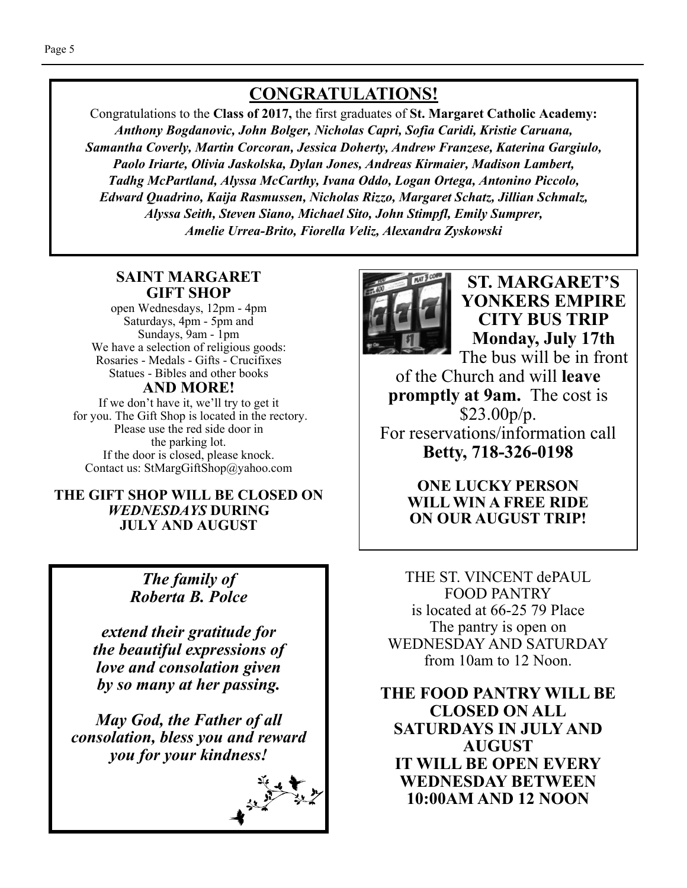## **CONGRATULATIONS!**

Congratulations to the **Class of 2017,** the first graduates of **St. Margaret Catholic Academy:**  *Anthony Bogdanovic, John Bolger, Nicholas Capri, Sofia Caridi, Kristie Caruana, Samantha Coverly, Martin Corcoran, Jessica Doherty, Andrew Franzese, Katerina Gargiulo, Paolo Iriarte, Olivia Jaskolska, Dylan Jones, Andreas Kirmaier, Madison Lambert, Tadhg McPartland, Alyssa McCarthy, Ivana Oddo, Logan Ortega, Antonino Piccolo, Edward Quadrino, Kaija Rasmussen, Nicholas Rizzo, Margaret Schatz, Jillian Schmalz, Alyssa Seith, Steven Siano, Michael Sito, John Stimpfl, Emily Sumprer, Amelie Urrea-Brito, Fiorella Veliz, Alexandra Zyskowski* 

#### **SAINT MARGARET GIFT SHOP**

open Wednesdays, 12pm - 4pm Saturdays, 4pm - 5pm and Sundays, 9am - 1pm We have a selection of religious goods: Rosaries - Medals - Gifts - Crucifixes Statues - Bibles and other books

#### **AND MORE!**

If we don't have it, we'll try to get it for you. The Gift Shop is located in the rectory. Please use the red side door in the parking lot. If the door is closed, please knock. Contact us: StMargGiftShop@yahoo.com

#### **THE GIFT SHOP WILL BE CLOSED ON**  *WEDNESDAYS* **DURING JULY AND AUGUST**

## *The family of Roberta B. Polce*

*extend their gratitude for the beautiful expressions of love and consolation given by so many at her passing.* 

*May God, the Father of all consolation, bless you and reward you for your kindness!* 





**ST. MARGARET'S YONKERS EMPIRE CITY BUS TRIP Monday, July 17th** 

The bus will be in front of the Church and will **leave promptly at 9am.** The cost is \$23.00p/p. For reservations/information call **Betty, 718-326-0198** 

> **ONE LUCKY PERSON WILL WIN A FREE RIDE ON OUR AUGUST TRIP!**

THE ST. VINCENT dePAUL FOOD PANTRY is located at 66-25 79 Place The pantry is open on WEDNESDAY AND SATURDAY from 10am to 12 Noon.

**THE FOOD PANTRY WILL BE CLOSED ON ALL SATURDAYS IN JULY AND AUGUST IT WILL BE OPEN EVERY WEDNESDAY BETWEEN 10:00AM AND 12 NOON**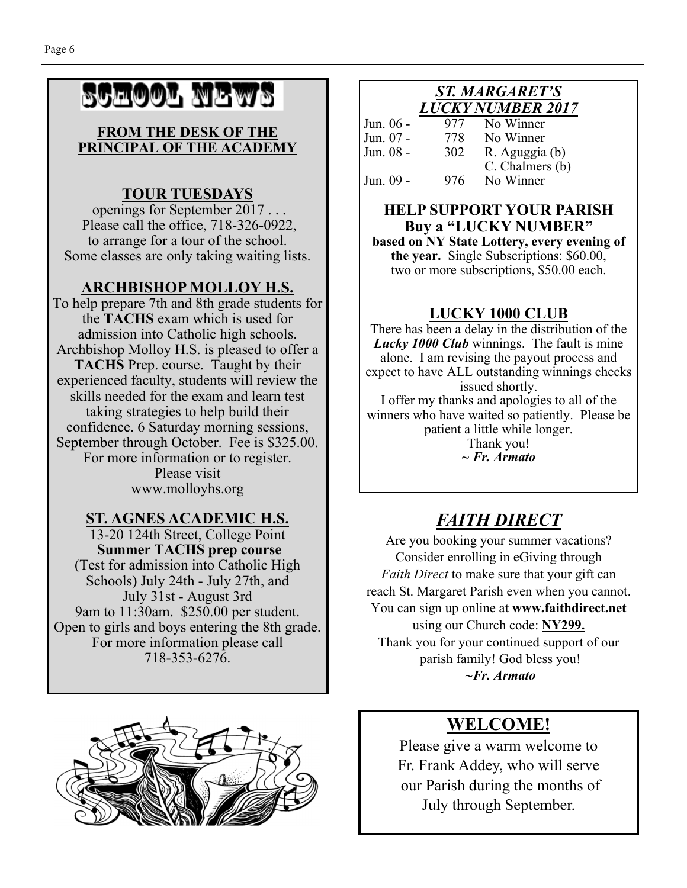# SCHOOL NEWS

#### **FROM THE DESK OF THE PRINCIPAL OF THE ACADEMY**

## **TOUR TUESDAYS**

 openings for September 2017 . . . Please call the office, 718-326-0922, to arrange for a tour of the school. Some classes are only taking waiting lists.

## **ARCHBISHOP MOLLOY H.S.**

To help prepare 7th and 8th grade students for the **TACHS** exam which is used for admission into Catholic high schools. Archbishop Molloy H.S. is pleased to offer a **TACHS** Prep. course. Taught by their experienced faculty, students will review the skills needed for the exam and learn test taking strategies to help build their confidence. 6 Saturday morning sessions, September through October. Fee is \$325.00. For more information or to register. Please visit www.molloyhs.org

## **ST. AGNES ACADEMIC H.S.**

13-20 124th Street, College Point **Summer TACHS prep course**  (Test for admission into Catholic High Schools) July 24th - July 27th, and July 31st - August 3rd 9am to 11:30am. \$250.00 per student. Open to girls and boys entering the 8th grade. For more information please call 718-353-6276.



#### *ST. MARGARET'S LUCKY NUMBER 2017*

| Jun. 06 - | 977 | No Winner       |
|-----------|-----|-----------------|
| Jun. 07 - | 778 | No Winner       |
| Jun. 08 - | 302 | R. Aguggia (b)  |
|           |     | C. Chalmers (b) |
| Jun. 09 - | 976 | No Winner       |

#### **HELP SUPPORT YOUR PARISH Buy a "LUCKY NUMBER"**

**based on NY State Lottery, every evening of the year.** Single Subscriptions: \$60.00, two or more subscriptions, \$50.00 each.

## **LUCKY 1000 CLUB**

There has been a delay in the distribution of the *Lucky 1000 Club* winnings. The fault is mine alone. I am revising the payout process and expect to have ALL outstanding winnings checks issued shortly.

I offer my thanks and apologies to all of the winners who have waited so patiently. Please be patient a little while longer.

Thank you! *~ Fr. Armato* 

## *FAITH DIRECT*

Are you booking your summer vacations? Consider enrolling in eGiving through *Faith Direct* to make sure that your gift can reach St. Margaret Parish even when you cannot. You can sign up online at **www.faithdirect.net**  using our Church code: **NY299.**  Thank you for your continued support of our parish family! God bless you!  *~Fr. Armato* 

## **WELCOME!**

Please give a warm welcome to Fr. Frank Addey, who will serve our Parish during the months of July through September.